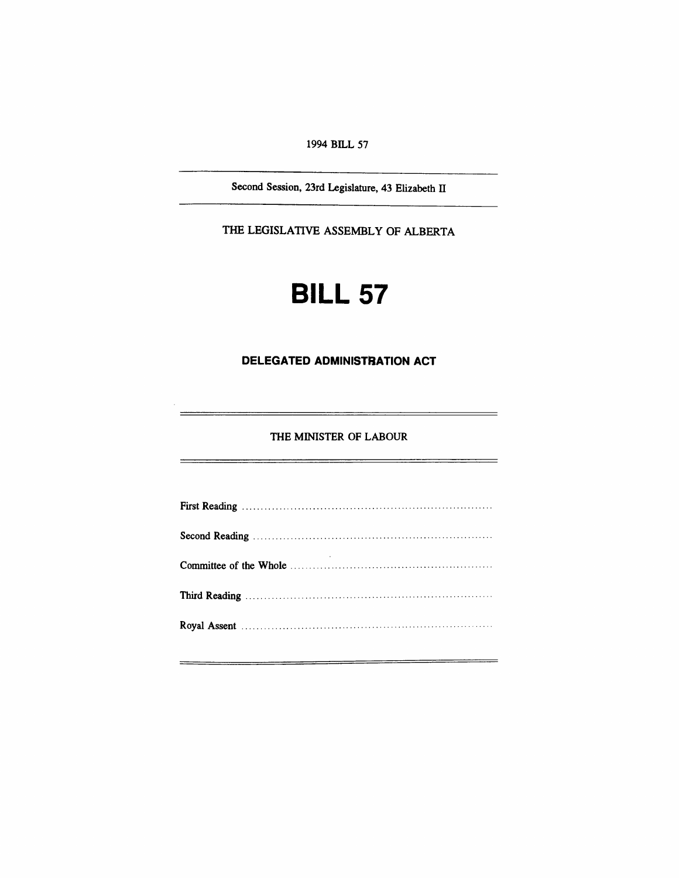1994 BILL 57

Second Session, 23rd Legislature, 43 Elizabeth IT

THE LEGISLATIVE ASSEMBLY OF ALBERTA

# **BILL 57**

#### **DELEGATED ADMINISTRATION ACT**

THE MINISTER OF LABOUR

 $\overline{\phantom{0}}$ 

 $\overline{a}$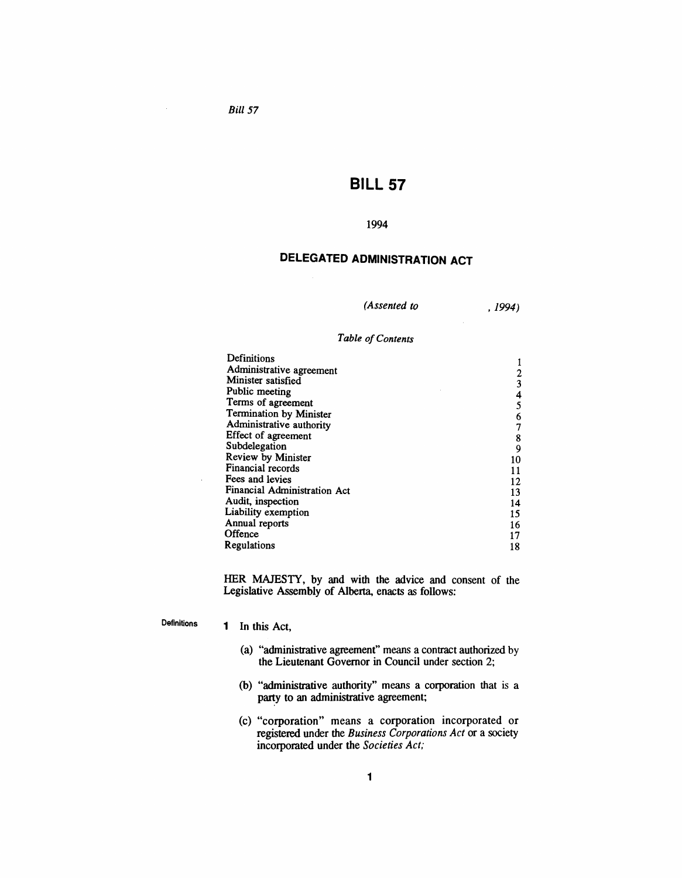$\sim$ 

## **BILL 57**

#### 1994

### **DELEGATED ADMINISTRATION ACT**

,1994)

#### **Table** of Contents

| Definitions                  |    |
|------------------------------|----|
| Administrative agreement     |    |
|                              |    |
| Minister satisfied           |    |
| Public meeting               | 4  |
| Terms of agreement           |    |
| Termination by Minister      | 6  |
| Administrative authority     |    |
| Effect of agreement          | 8  |
| Subdelegation                | 9  |
| Review by Minister           | 10 |
| Financial records            | 11 |
| Fees and levies              | 12 |
| Financial Administration Act | 13 |
| Audit, inspection            | 14 |
| Liability exemption          | 15 |
| Annual reports               | 16 |
| Offence                      | 17 |
| Regulations                  | 18 |

HER MAJESTY, by and with the advice and consent of the Legislative Assembly of Alberta, enacts as follows:

Definitions

 $\bar{\beta}$ 

#### 1 In this Act,

- (a) "administrative agreement" means a contract authorized by the Lieutenant Governor in Council under section 2;
- (b) "administrative authority" means a corporation that is a party to an administrative agreement;
- (c) "corporation" means a corporation incorporated or registered under the *Business Corporations Act* or a society incorporated under the *Societies Act;*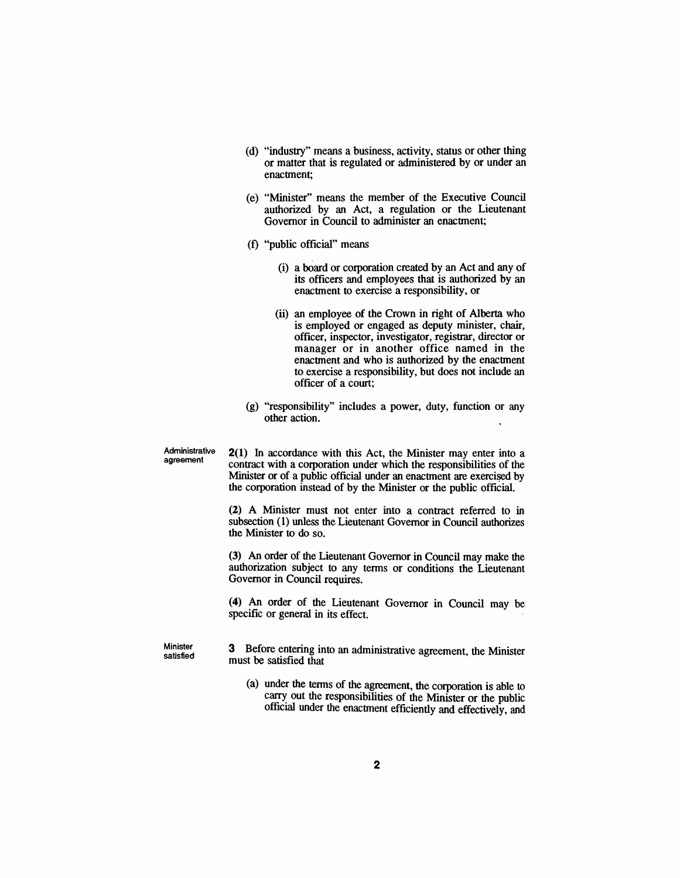- (d) "industry" means a business, activity, status or other thing or matter that is regulated or administered by or under an enactment;
- (e) "Minister" means the member of the Executive Council authorized, by an Act, a regulation or the Lieutenant Governor in Council to administer an enactment;
- (f) "public official" means
	- (i) a board or corporation created by an Act and any of its officers and employees that is authorized by an enactment to exercise a responsibility, or
	- (ii) an employee of the Crown in right of Alberta who is employed or engaged as deputy minister, chair, officer, inspector, investigator, registrar, director or manager or in another office named in the enactment and who is authorized by the enactment to exercise a responsibility, but does not include an officer of a court;
- (g) "responsibility" includes a power, duty, function or any other action.

Administrative agreement

2(1) In accordance with this Act, the Minister may enter into a contract with a corporation under which the responsibilities of the Minister or of a public official under an enactment are exercised by the corporation instead of by the Minister or the public official.

(2) A Minister must not enter into a contract referred to in subsection (1) unless the Lieutenant Governor in Council authorizes the Minister to do so.

(3) An order of the Lieutenant Governor in Council may make the authorization subject to any terms or conditions the Lieutenant Governor in Council requires.

(4) An order of the Lieutenant Governor in Council may be specific or general in its effect.

**Minister** satisfied 3 Before entering into an administrative agreement, the Minister must be satisfied that

(a) under the terms of the agreement, the corporation is able to carry out the responsibilities of the Minister or the public official under the enactment efficiently and effectively, and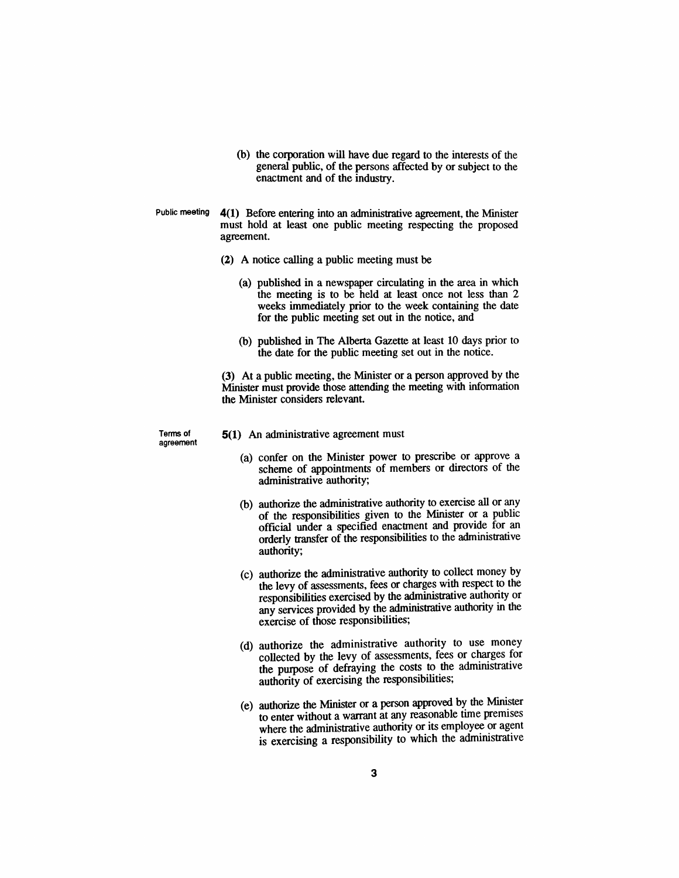- (b) the corporation will have due regard to the interests of the general public, of the persons affected by or subject to the enactment and of the industry.
- Public meeting 4(1) Before entering into an administrative agreement, the Minister must hold at least one public meeting respecting the proposed agreement.
	- (2) A notice calling a public meeting must be
		- (a) published in a newspaper circulating in the area in which the meeting is to be held at least once not less than 2 weeks immediately prior to the week containing the date for the public meeting set out in the notice, and
		- (b) published in The Alberta Gazette at least 10 days prior to the date for the public meeting set out in the notice.

(3) At a public meeting, the Minister or a person approved by the Minister must provide those attending the meeting with information the Minister considers relevant.

Terms of agreement

- 5(1) An administrative agreement must
	- (a) confer on the Minister power to prescribe or approve a scheme of appointments of members or directors of the administrative authority;
	- (b) authorize the administrative authority to exercise all or any of the responsibilities given to the Minister or a public official under a specified enactment and provide for an orderly transfer of the responsibilities to the administrative authority;
	- (c) authorize the administrative authority to collect money by the levy of assessments, fees or charges with respect to the responsibilities exercised by the administrative authority or any services provided by the administrative authority in the exercise of those responsibilities;
	- (d) authorize the administrative authority to use money collected by the levy of assessments, fees or charges for the pwpose of defraying the costs to the administrative authority of exercising the responsibilities;
	- (e) authorize the Minister or a person approved by the Minister to enter without a warrant at any reasonable time premises where the administrative authority or its employee or agent is exercising a responsibility to which the administrative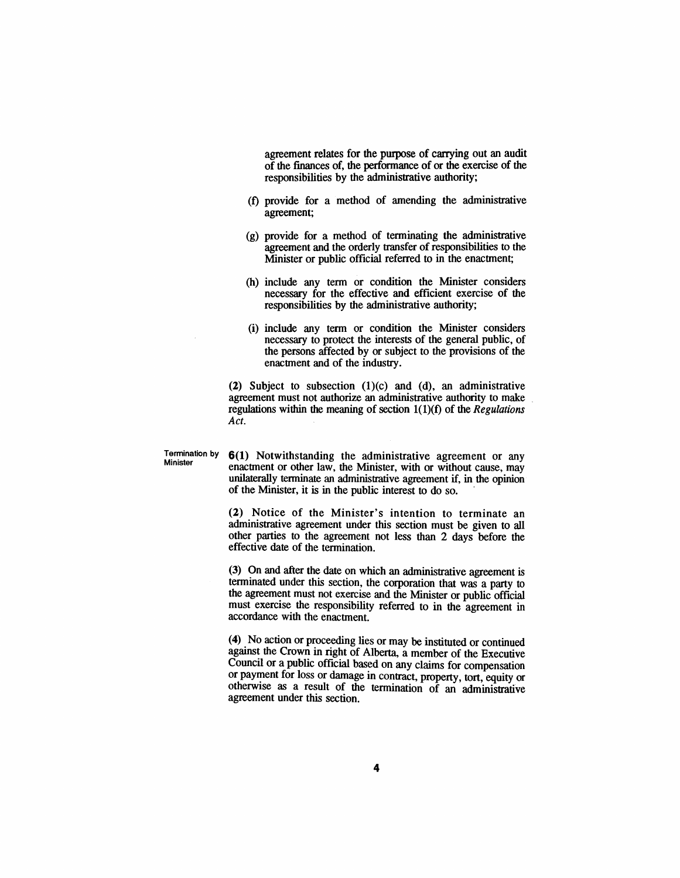agreement relates for the purpose of carrying out an audit of the finances of, the perfonnance of or the exercise of the responsibilities by the administrative authority;

- (0 provide for a method of amending the administrative agreement;
- (g) provide for a method of terminating the administrative agreement and the orderly transfer of responsibilities to the Minister or public official referred to in the enactment;
- (h) include any term or condition the Minister considers necessary for the effective and efficient exercise of the responsibilities by the administrative authority;
- (i) include any term or condition the Minister considers necessary to protect the interests of the general public, of the persons affected by or subject to the provisions of the enactment and of the industry.

(2) Subject to subsection  $(1)(c)$  and  $(d)$ , an administrative agreement must not authorize an administrative authority to make regulations within the meaning of section 1(1)(f) of the *Regulations Act.*

Termination by  $6(1)$  Notwithstanding the administrative agreement or any Minister enactment or other law, the Minister, with or without cause, may unilaterally terminate an administrative agreement if, in the opinion of the Minister, it is in the public interest to do so. .

> (2) Notice of the Minister's intention to terminate an administrative agreement under this section must be given to all other parties to the agreement not less than 2 days before the effective date of the termination.

> (3) On and after the date on which an administrative agreement is terminated under this section, the corporation that was a party to the agreement must not exercise and the Minister or public official must exercise the responsibility referred to in the agreement in accordance with the enactment.

> (4) No action or proceeding lies or may be instituted or continued against the Crown in right of Alberta, a member of the Executive Council or a public official based on any claims for compensation or payment for loss or damage in contract, property, tort, equity or otherwise as a result of the termination of an administrative agreement under this section.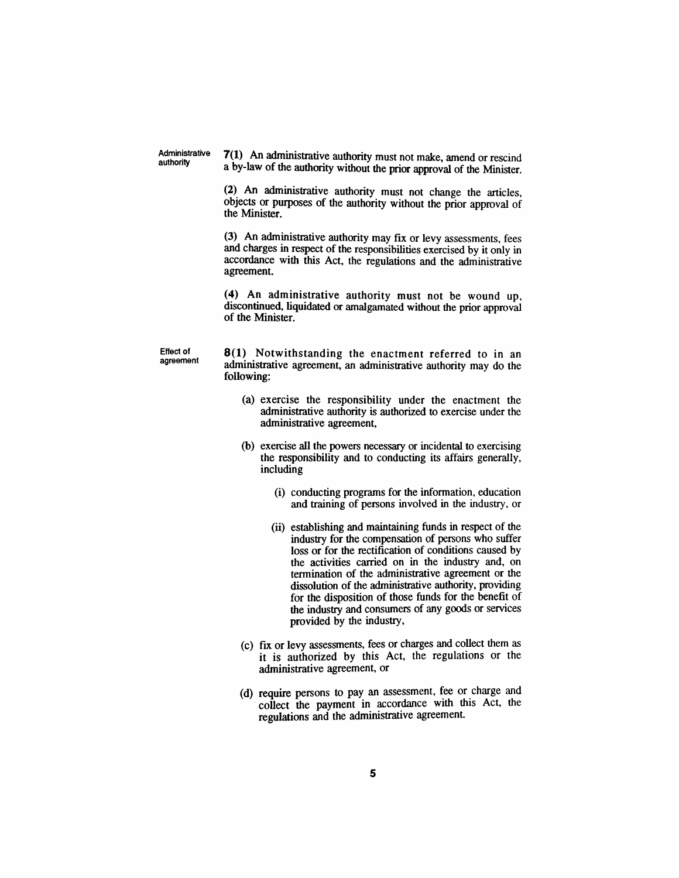Administrative authority

7(1) An administrative authority must not make, amend or rescind a by-law of the authority without the prior approval of the Minister.

(2) An administrative authority must not change the articles, objects or purposes of the authority without the prior approval of the Minister.

(3) An administrative authority may fix or levy assessments, fees and charges in respect of the responsibilities exercised by it only in accordance with this Act, the regulations and the administrative agreement.

(4) An administrative authority must not be wound up, discontinued, liquidated or amalgamated without the prior approval of the Minister.

Effect of agreement

8(1) Notwithstanding the enactment referred to in an administrative agreement, an administrative authority may do the following:

- (a) exercise the responsibility under the enactment the administrative authority is authorized to exercise under the administrative agreement,
- (b) exercise all the powers necessary or incidental to exercising the responsibility and to conducting its affairs generally, including
	- (i) conducting programs for the information, education and training of persons involved in the industry, or
	- (ii) establishing and maintaining funds in respect of the industry for the compensation of persons who suffer loss or for the rectification of conditions caused by the activities carried on in the industry and, on termination of the administrative agreement or the dissolution of the administrative authority, providing for the disposition of those funds for the benefit of the industry and consumers of any goods or services provided by the industry,
- (c) fIX or levy assessments, fees or charges and collect them as it is authorized by this Act, the regulations or the administrative agreement, or
- (d) require persons to pay an assessment, fee or charge and collect the payment in accordance with this Act, the regulations and the administrative agreement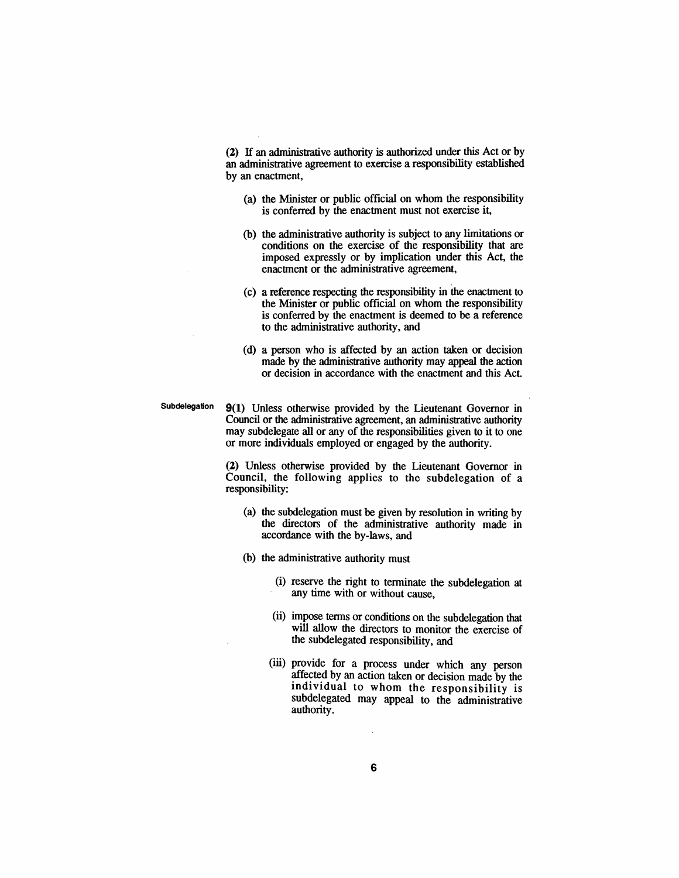(2) If an administrative authority is authorized under this Act or by an administrative agreement to exercise a responsibility established by an enactment,

- (a) the Minister or public official on whom the responsibility is conferred by the enactment must not exercise it,
- (b) the administrative authority is subject to any limitations or conditions on the exercise of the responsibility that are imposed expressly or by implication under this Act, the enactment or the administrative agreement,
- (c) a reference respecting the responsibility in the enactment to the Minister or public official on whom the responsibility is conferred by the enactment is deemed to be a reference to the administrative authority, and
- (d) a person who is affected by an action taken or decision made by the administrative authority may appeal the action or decision in accordance with the enactment and this Act.
- Subdelegation 9(1) Unless otherwise provided by the Lieutenant Governor in Council or the administrative agreement, an administrative authority may subdelegate all or any of the responsibilities given to it to one or more individuals employed or engaged by the authority.

(2) Unless otherwise provided by the Lieutenant Governor in Council, the following applies to the subdelegation of a responsibility:

- (a) the subdelegation must be given by resolution in writing by the directors of the administrative authority made in accordance with the by-laws, and
- (b) the administrative authority must
	- (i) reserve the right to terminate the subdelegation at any time with or without cause,
	- (ii) impose terms or conditions on the subdelegation that will allow the directors to monitor the exercise of the subdelegated responsibility, and
	- (iii) provide for a process under which any person affected by an action taken or decision made by the individual to whom the responsibility is subdelegated may appeal to the administrative authority.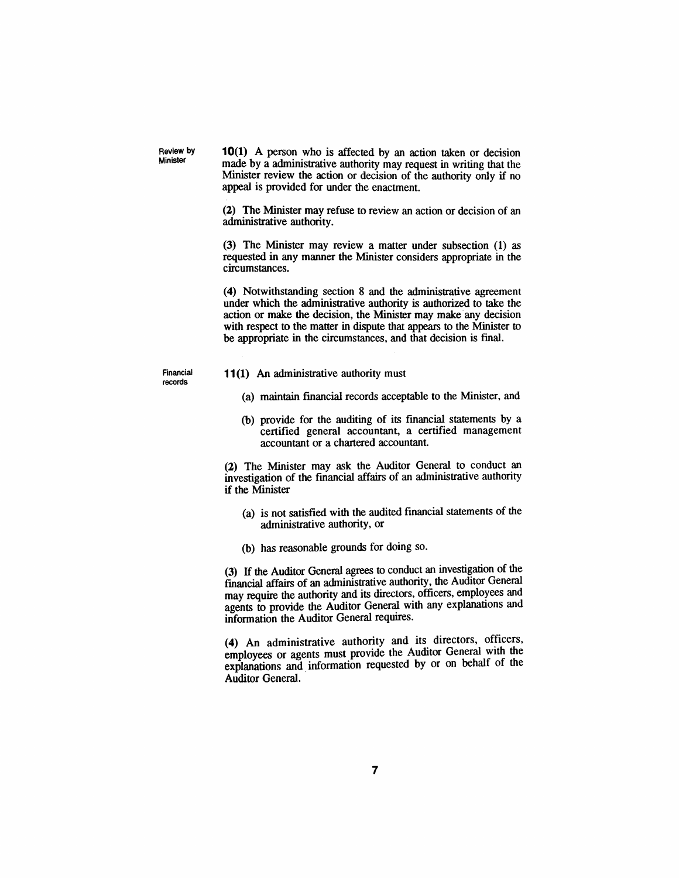10(1) A person who is affected by an action taken or decision made by a administrative authority may request in writing that the Minister review the action or decision of the authority only if no appeal is provided for under the enactment.

(2) The Minister may refuse to review an action or decision of an administrative authority.

(3) The Minister may review a matter under subsection (1) as requested in any manner the Minister considers appropriate in the circumstances.

(4) Notwithstanding section 8 and the administrative agreement under which the administrative authority is authorized to take the action or make the decision, the Minister may make any decision with respect to the matter in dispute that appears to the Minister to be appropriate in the circumstances, and that decision is fmal.

Financial records

Review by Minister

- **11(1)** An administrative authority must
	- (a) maintain financial records acceptable to the Minister, and
	- (b) provide for the auditing of its financial statements by a certified general accountant, a certified management accountant or a chartered accountant

(2) The Minister may ask the Auditor General to conduct an investigation of the fmancial affairs of an administrative authority if the Minister

- (a) is not satisfied with the audited financial statements of the administrative authority, or
- (b) has reasonable grounds for doing so.

(3) If the Auditor General agrees to conduct an investigation of the fmancial affairs of an administrative authority, the Auditor General may require the authority and its directors, officers, employees and agents to provide the Auditor General with any explanations and information the Auditor General requires.

(4) An administrative authority and its directors, officers, employees or agents must provide the Auditor General with the explanations and information requested by or on behalf of the Auditor General.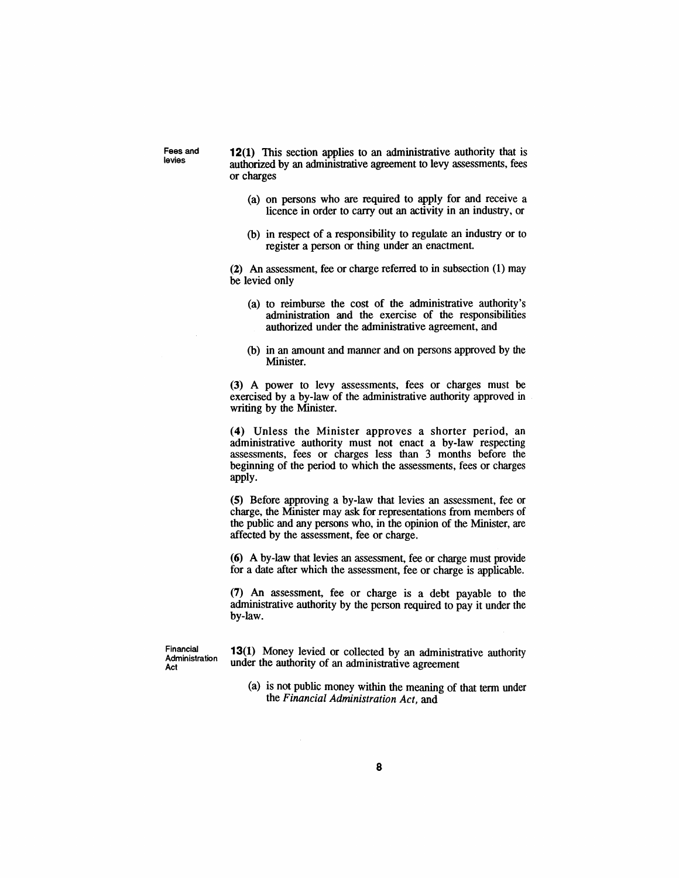Fees and levies

12(1) This section applies to an administrative authority that is authorized by an administrative agreement to levy assessments, fees or charges

- (a) on persons who are required to apply for and receive a licence in order to carry out an activity in an industry, or
- (b) in respect of a responsibility to regulate an industry or to register a person or thing under an enactment.

(2) An assessment, fee or charge referred to in subsection (1) may be levied only

- (a) to reimburse the cost of the administrative authority's administration and the exercise of the responsibilities authorized under the administrative agreement, and
- (b) in an amount and manner and on persons approved by the Minister.

(3) A power to levy assessments, fees or charges must be exercised by a by-law of the administrative authority approved in writing by the Minister.

(4) Unless the Minister approves a shorter period, an administrative authority must not enact a by-law respecting assessments, fees or charges less than 3 months before the beginning of the period to which the assessments, fees or charges apply.

(5) Before approving a by-law that levies an assessment, fee or charge, the Minister may ask for representations from members of the public and any persons who, in the opinion of the Minister, are affected by the assessment, fee or charge.

(6) A by-law that levies an assessment, fee or charge must provide for a date after which the assessment, fee or charge is applicable.

(7) An assessment, fee or charge is a debt payable to the administrative authority by the person required to pay it under the by-law.

Financial Administration Act

13(1) Money levied or collected by an administrative authority under the authority of an administrative agreement

(a) is not public money within the meaning of that term under the *Financial Administration Act,* and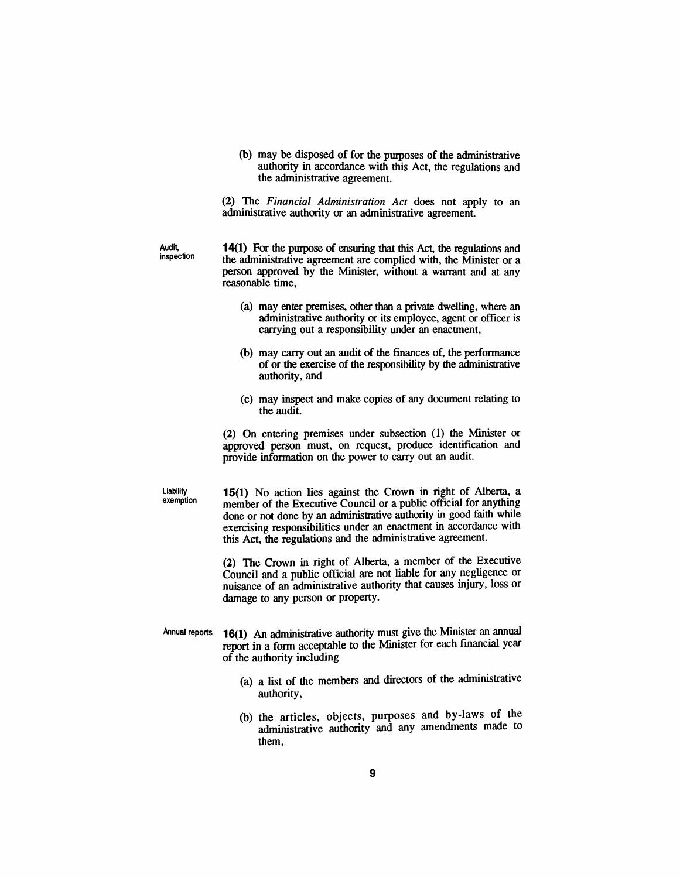(b) may be disposed of for the purposes of the administrative authority in accordance with this Act, the regulations and the administrative agreement.

(2) The *Financial Administration Act* does not apply to an administrative authority or an administrative agreement.

Audit, inspection 14(1) For the purpose of ensuring that this Act, the regulations and the administrative agreement are complied with, the Minister or a person approved by the Minister, without a warrant and at any reasonable time,

- (a) may enter premises, other than a private dwelling, where an administrative authority or its employee, agent or officer is carrying out a responsibility under an enactment,
- (b) may carry out an audit of the [mances of, the performance of or the exercise of the responsibility by the administrative authority, and
- (c) may inspect and make copies of any document relating to the audit.

(2) On entering premises under subsection (1) the Minister or approved person must, on request, produce identification and provide information on the power to carry out an audit.

Liability exemption

15(1) No action lies against the Crown in right of Alberta, a member of the Executive Council or a public official for anything done or not done by an administrative authority in good faith while exercising responsibilities under an enactment in accordance with this Act, the regulations and the administrative agreement.

(2) The Crown in right of Alberta, a member of the Executive Council and a public official are not liable for any negligence or nuisance of an administrative authority that causes injury, loss or damage to any person or property.

- Annual reports 16(1) An administrative authority must give the Minister an annual report in a form acceptable to the Minister for each financial year of the authority including
	- (a) a list of the members and directors of the administrative authority,
	- (b) the articles, objects, purposes and by-laws of the administrative authority and any amendments made to them,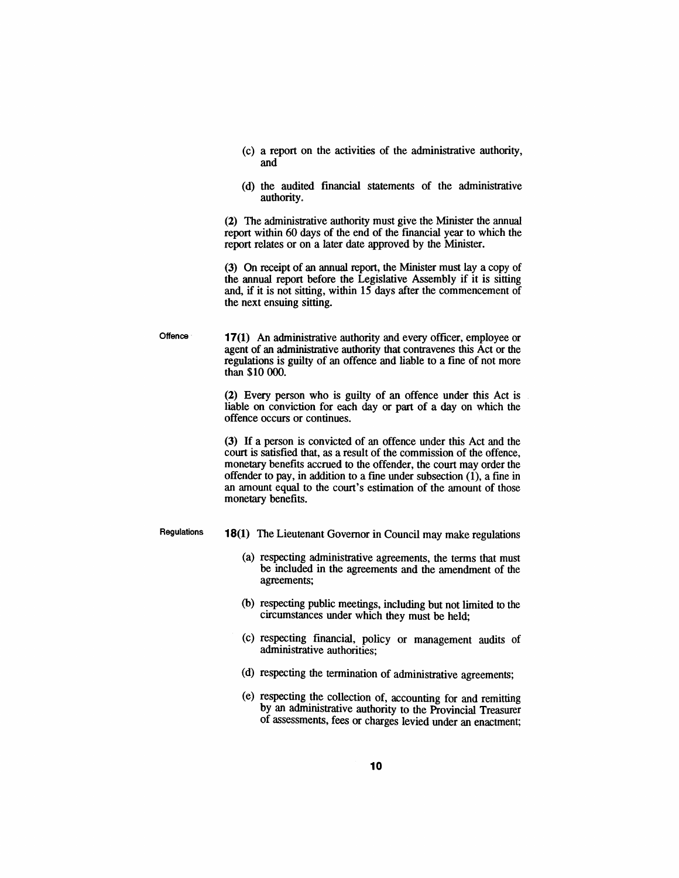- (c) a report on the activities of the administrative authority, and
- (d) the audited financial statements of the administrative authority.

(2) The administrative authority must give the Minister the annual report within 60 days of the end of the fmancial year to which the report relates or on a later date approved by the Minister.

(3) On receipt of an annual report, the Minister must lay a copy of the annual report before the Legislative Assembly if it is sitting and, if it is not sitting, within 15 days after the commencement of the next ensuing sitting.

**Offence** 17(1) An administrative authority and every officer, employee or agent of an administrative authority that contravenes this Act or the regulations is guilty of an offence and liable to a fine of not more than \$10 000.

> (2) Every person who is guilty of an offence under this Act is liable on conviction for each day or part of a day on which the offence occurs or continues.

> (3) If a person is convicted of an offence under this Act and the court is satisfied that, as a result of the commission of the offence, monetary benefits accrued to the offender, the court may order the offender to pay, in addition to a fine under subsection (1), a fine in an amount equal to the court's estimation of the amount of those monetary benefits.

Regulations

- 18(1) The Lieutenant Governor in Council may make regulations
	- (a) respecting administrative agreements, the terms that must be included in the agreements and the amendment of the agreements;
	- (b) respecting public meetings, including but not limited to the circumstances under which they must be held;
	- (c) respecting financial, policy or management audits of administrative authorities;
	- (d) respecting the termination of administrative agreements;
	- (e) respecting the collection of, accounting for and remitting by an administrative authority to the Provincial Treasurer of assessments, fees or charges levied under an enactment;